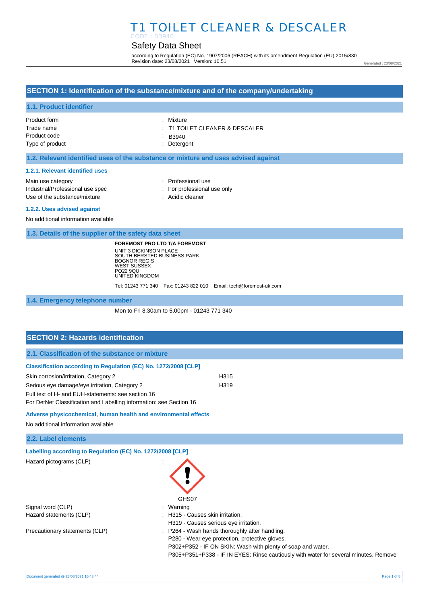# Safety Data Sheet

according to Regulation (EC) No. 1907/2006 (REACH) with its amendment Regulation (EU) 2015/830 Revision date: 23/08/2021 Version: 10.51

Generated : 23/08/2021

# **SECTION 1: Identification of the substance/mixture and of the company/undertaking**

### **1.1. Product identifier**

| Product form    | : Mixture                                 |
|-----------------|-------------------------------------------|
| Trade name      | $\therefore$ T1 TOILET CLEANER & DESCALER |
| Product code    | $\therefore$ B3940                        |
| Type of product | : Detergent                               |

### **1.2. Relevant identified uses of the substance or mixture and uses advised against**

#### **1.2.1. Relevant identified uses**

| Main use category                |
|----------------------------------|
| Industrial/Professional use spec |
| Use of the substance/mixture     |

- : Professional use
- : For professional use only

: Acidic cleaner

#### **1.2.2. Uses advised against**

No additional information available

**1.3. Details of the supplier of the safety data sheet**

**FOREMOST PRO LTD T/A FOREMOST** UNIT 3 DICKINSON PLACE SOUTH BERSTED BUSINESS PARK BOGNOR REGIS WEST SUSSEX PO22 9QU UNITED KINGDOM

Tel: 01243 771 340 Fax: 01243 822 010 Email: tech@foremost-uk.com

**1.4. Emergency telephone number**

Mon to Fri 8.30am to 5.00pm - 01243 771 340

# **SECTION 2: Hazards identification**

|  | 2.1. Classification of the substance or mixture |  |  |
|--|-------------------------------------------------|--|--|
|--|-------------------------------------------------|--|--|

#### **Classification according to Regulation (EC) No. 1272/2008 [CLP]**

| Skin corrosion/irritation, Category 2              | H <sub>315</sub> |
|----------------------------------------------------|------------------|
| Serious eye damage/eye irritation, Category 2      | H <sub>319</sub> |
| Full text of H- and EUH-statements: see section 16 |                  |

For DetNet Classification and Labelling information: see Section 16

### **Adverse physicochemical, human health and environmental effects**

No additional information available

**2.2. Label elements**

**Labelling according to Regulation (EC) No. 1272/2008 [CLP]**

| Hazard pictograms (CLP)        |                                                                                      |
|--------------------------------|--------------------------------------------------------------------------------------|
|                                | GHS07                                                                                |
| Signal word (CLP)              | Warning                                                                              |
| Hazard statements (CLP)        | H315 - Causes skin irritation.                                                       |
|                                | H319 - Causes serious eye irritation.                                                |
| Precautionary statements (CLP) | P264 - Wash hands thoroughly after handling.                                         |
|                                | P280 - Wear eye protection, protective gloves.                                       |
|                                | P302+P352 - IF ON SKIN: Wash with plenty of soap and water.                          |
|                                | P305+P351+P338 - IF IN EYES: Rinse cautiously with water for several minutes. Remove |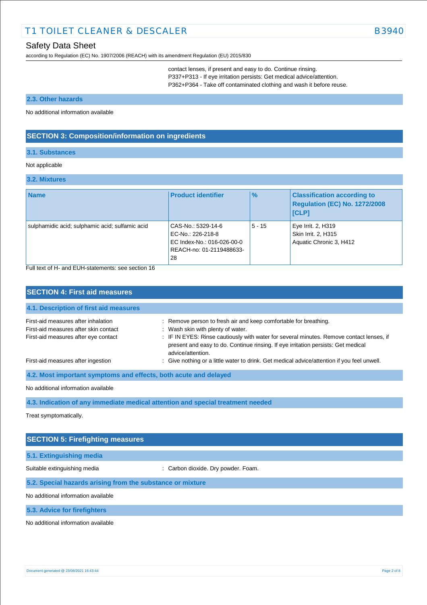according to Regulation (EC) No. 1907/2006 (REACH) with its amendment Regulation (EU) 2015/830

contact lenses, if present and easy to do. Continue rinsing. P337+P313 - If eye irritation persists: Get medical advice/attention.

P362+P364 - Take off contaminated clothing and wash it before reuse.

#### **2.3. Other hazards**

No additional information available

## **SECTION 3: Composition/information on ingredients**

### **3.1. Substances**

### Not applicable

### **3.2. Mixtures**

| <b>Name</b>                                     | <b>Product identifier</b>                                                                               | $\%$     | <b>Classification according to</b><br>Regulation (EC) No. 1272/2008<br><b>ICLPI</b> |
|-------------------------------------------------|---------------------------------------------------------------------------------------------------------|----------|-------------------------------------------------------------------------------------|
| sulphamidic acid; sulphamic acid; sulfamic acid | CAS-No.: 5329-14-6<br>EC-No.: 226-218-8<br>EC Index-No.: 016-026-00-0<br>REACH-no: 01-2119488633-<br>28 | $5 - 15$ | Eye Irrit. 2, H319<br>Skin Irrit. 2, H315<br>Aquatic Chronic 3, H412                |

Full text of H- and EUH-statements: see section 16

| <b>SECTION 4: First aid measures</b>                                                                                 |                                                                                                                                                                                                                                                                                                             |  |  |
|----------------------------------------------------------------------------------------------------------------------|-------------------------------------------------------------------------------------------------------------------------------------------------------------------------------------------------------------------------------------------------------------------------------------------------------------|--|--|
| 4.1. Description of first aid measures                                                                               |                                                                                                                                                                                                                                                                                                             |  |  |
| First-aid measures after inhalation<br>First-aid measures after skin contact<br>First-aid measures after eye contact | : Remove person to fresh air and keep comfortable for breathing.<br>: Wash skin with plenty of water.<br>: IF IN EYES: Rinse cautiously with water for several minutes. Remove contact lenses, if<br>present and easy to do. Continue rinsing. If eye irritation persists: Get medical<br>advice/attention. |  |  |
| First-aid measures after ingestion                                                                                   | : Give nothing or a little water to drink. Get medical advice/attention if you feel unwell.                                                                                                                                                                                                                 |  |  |
| 4.2. Most important symptoms and effects, both acute and delayed                                                     |                                                                                                                                                                                                                                                                                                             |  |  |

No additional information available

**4.3. Indication of any immediate medical attention and special treatment needed**

Treat symptomatically.

# **SECTION 5: Firefighting measures**

### **5.1. Extinguishing media**

Suitable extinguishing media : Carbon dioxide. Dry powder. Foam.

**5.2. Special hazards arising from the substance or mixture**

No additional information available

**5.3. Advice for firefighters**

No additional information available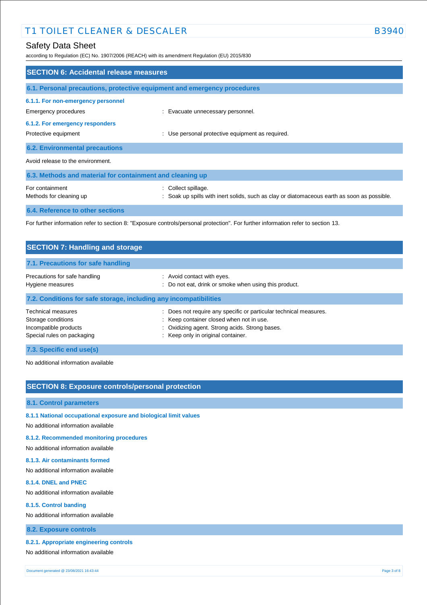# Safety Data Sheet

according to Regulation (EC) No. 1907/2006 (REACH) with its amendment Regulation (EU) 2015/830

| <b>SECTION 6: Accidental release measures</b>                                                                                     |                                                                                                                    |  |  |
|-----------------------------------------------------------------------------------------------------------------------------------|--------------------------------------------------------------------------------------------------------------------|--|--|
| 6.1. Personal precautions, protective equipment and emergency procedures                                                          |                                                                                                                    |  |  |
| 6.1.1. For non-emergency personnel<br>Emergency procedures                                                                        | : Evacuate unnecessary personnel.                                                                                  |  |  |
| 6.1.2. For emergency responders<br>Protective equipment                                                                           | : Use personal protective equipment as required.                                                                   |  |  |
| <b>6.2. Environmental precautions</b>                                                                                             |                                                                                                                    |  |  |
| Avoid release to the environment.                                                                                                 |                                                                                                                    |  |  |
| 6.3. Methods and material for containment and cleaning up                                                                         |                                                                                                                    |  |  |
| For containment<br>Methods for cleaning up                                                                                        | : Collect spillage.<br>: Soak up spills with inert solids, such as clay or diatomaceous earth as soon as possible. |  |  |
| <b>6.4. Reference to other sections</b>                                                                                           |                                                                                                                    |  |  |
| For further information refer to section 8: "Exposure controls/personal protection". For further information refer to section 13. |                                                                                                                    |  |  |

| <b>SECTION 7: Handling and storage</b>                                                                 |                                                                                                                                                                                                       |  |
|--------------------------------------------------------------------------------------------------------|-------------------------------------------------------------------------------------------------------------------------------------------------------------------------------------------------------|--|
| 7.1. Precautions for safe handling                                                                     |                                                                                                                                                                                                       |  |
| Precautions for safe handling<br>Hygiene measures                                                      | : Avoid contact with eyes.<br>: Do not eat, drink or smoke when using this product.                                                                                                                   |  |
| 7.2. Conditions for safe storage, including any incompatibilities                                      |                                                                                                                                                                                                       |  |
| <b>Technical measures</b><br>Storage conditions<br>Incompatible products<br>Special rules on packaging | : Does not require any specific or particular technical measures.<br>: Keep container closed when not in use.<br>: Oxidizing agent. Strong acids. Strong bases.<br>: Keep only in original container. |  |
| 7.3. Specific end use(s)                                                                               |                                                                                                                                                                                                       |  |

No additional information available

# **SECTION 8: Exposure controls/personal protection**

### **8.1. Control parameters**

# **8.1.1 National occupational exposure and biological limit values**

No additional information available

## **8.1.2. Recommended monitoring procedures**

No additional information available

### **8.1.3. Air contaminants formed**

No additional information available

#### **8.1.4. DNEL and PNEC**

No additional information available

#### **8.1.5. Control banding**

No additional information available

## **8.2. Exposure controls**

### **8.2.1. Appropriate engineering controls**

No additional information available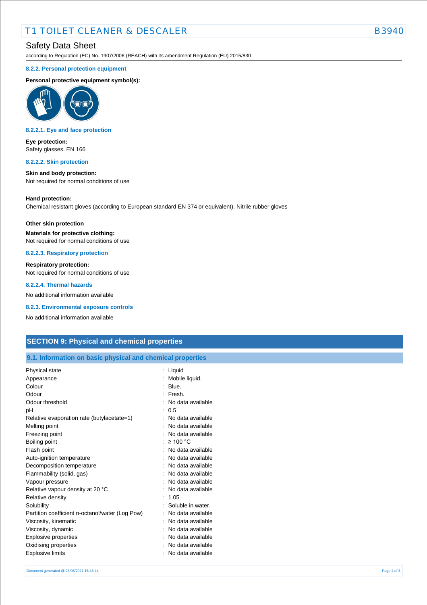# Safety Data Sheet

according to Regulation (EC) No. 1907/2006 (REACH) with its amendment Regulation (EU) 2015/830

#### **8.2.2. Personal protection equipment**

#### **Personal protective equipment symbol(s):**



#### **8.2.2.1. Eye and face protection**

**Eye protection:** Safety glasses. EN 166

#### **8.2.2.2. Skin protection**

**Skin and body protection:**

Not required for normal conditions of use

#### **Hand protection:**

Chemical resistant gloves (according to European standard EN 374 or equivalent). Nitrile rubber gloves

#### **Other skin protection**

**Materials for protective clothing:** Not required for normal conditions of use

**8.2.2.3. Respiratory protection**

#### **Respiratory protection:**

Not required for normal conditions of use

### **8.2.2.4. Thermal hazards**

No additional information available

**8.2.3. Environmental exposure controls**

No additional information available

# **SECTION 9: Physical and chemical properties**

### **9.1. Information on basic physical and chemical properties**

| Physical state                                  | Liquid            |
|-------------------------------------------------|-------------------|
| Appearance                                      | Mobile liquid.    |
| Colour                                          | Blue.             |
| Odour                                           | Fresh.            |
| Odour threshold                                 | No data available |
| рH                                              | 0.5               |
| Relative evaporation rate (butylacetate=1)      | No data available |
| Melting point                                   | No data available |
| Freezing point                                  | No data available |
| Boiling point                                   | : $\geq 100$ °C   |
| Flash point                                     | No data available |
| Auto-ignition temperature                       | No data available |
| Decomposition temperature                       | No data available |
| Flammability (solid, gas)                       | No data available |
| Vapour pressure                                 | No data available |
| Relative vapour density at 20 °C                | No data available |
| Relative density                                | 1.05              |
| Solubility                                      | Soluble in water. |
| Partition coefficient n-octanol/water (Log Pow) | No data available |
| Viscosity, kinematic                            | No data available |
| Viscosity, dynamic                              | No data available |
| Explosive properties                            | No data available |
| Oxidising properties                            | No data available |
| Explosive limits                                | No data available |
|                                                 |                   |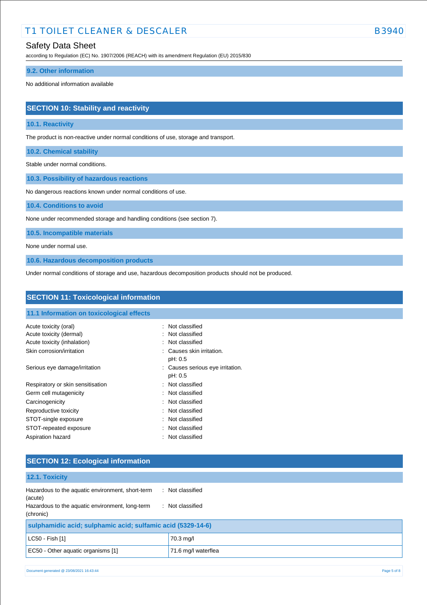# Safety Data Sheet

according to Regulation (EC) No. 1907/2006 (REACH) with its amendment Regulation (EU) 2015/830

#### **9.2. Other information**

No additional information available

# **SECTION 10: Stability and reactivity**

### **10.1. Reactivity**

The product is non-reactive under normal conditions of use, storage and transport.

**10.2. Chemical stability**

Stable under normal conditions.

**10.3. Possibility of hazardous reactions**

No dangerous reactions known under normal conditions of use.

**10.4. Conditions to avoid**

None under recommended storage and handling conditions (see section 7).

**10.5. Incompatible materials**

None under normal use.

**10.6. Hazardous decomposition products**

Under normal conditions of storage and use, hazardous decomposition products should not be produced.

| <b>SECTION 11: Toxicological information</b>                                    |                                                          |  |  |
|---------------------------------------------------------------------------------|----------------------------------------------------------|--|--|
| 11.1 Information on toxicological effects                                       |                                                          |  |  |
| Acute toxicity (oral)<br>Acute toxicity (dermal)<br>Acute toxicity (inhalation) | : Not classified<br>: Not classified<br>: Not classified |  |  |
| Skin corrosion/irritation                                                       | : Causes skin irritation.<br>pH: 0.5                     |  |  |
| Serious eye damage/irritation                                                   | : Causes serious eye irritation.<br>pH: 0.5              |  |  |
| Respiratory or skin sensitisation                                               | : Not classified                                         |  |  |
| Germ cell mutagenicity                                                          | : Not classified                                         |  |  |
| Carcinogenicity                                                                 | : Not classified                                         |  |  |
| Reproductive toxicity                                                           | : Not classified                                         |  |  |
| STOT-single exposure                                                            | : Not classified                                         |  |  |
| STOT-repeated exposure                                                          | : Not classified                                         |  |  |
| Aspiration hazard                                                               | : Not classified                                         |  |  |
|                                                                                 |                                                          |  |  |

## **SECTION 12: Ecological information**

| : Not classified<br>: Not classified | 12.1. Toxicity                                                                                                              |  |  |
|--------------------------------------|-----------------------------------------------------------------------------------------------------------------------------|--|--|
|                                      | Hazardous to the aquatic environment, short-term<br>(acute)<br>Hazardous to the aquatic environment, long-term<br>(chronic) |  |  |
|                                      | sulphamidic acid; sulphamic acid; sulfamic acid (5329-14-6)                                                                 |  |  |
| 70.3 mg/l                            | LC50 - Fish [1]                                                                                                             |  |  |
| 71.6 mg/l waterflea                  | EC50 - Other aquatic organisms [1]                                                                                          |  |  |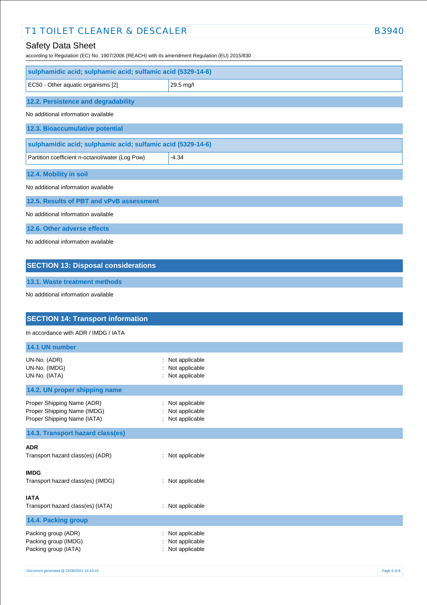# Safety Data Sheet

according to Regulation (EC) No. 1907/2006 (REACH) with its amendment Regulation (EU) 2015/830

| sulphamidic acid; sulphamic acid; sulfamic acid (5329-14-6) |           |  |
|-------------------------------------------------------------|-----------|--|
| EC50 - Other aquatic organisms [2]                          | 29.5 mg/l |  |
| 12.2. Persistence and degradability                         |           |  |
| No additional information available                         |           |  |
| 12.3. Bioaccumulative potential                             |           |  |
| sulphamidic acid; sulphamic acid; sulfamic acid (5329-14-6) |           |  |
| Partition coefficient n-octanol/water (Log Pow)             | $-4.34$   |  |
| 12.4. Mobility in soil                                      |           |  |
| No additional information available                         |           |  |
| 12.5. Results of PBT and vPvB assessment                    |           |  |
| No additional information available                         |           |  |
| 12.6. Other adverse effects                                 |           |  |
| No additional information available                         |           |  |
|                                                             |           |  |
| <b>SECTION 13: Disposal considerations</b>                  |           |  |

**13.1. Waste treatment methods**

No additional information available

| <b>SECTION 14: Transport information</b>                                                 |                                                           |  |  |  |
|------------------------------------------------------------------------------------------|-----------------------------------------------------------|--|--|--|
| In accordance with ADR / IMDG / IATA                                                     |                                                           |  |  |  |
| 14.1 UN number                                                                           |                                                           |  |  |  |
| UN-No. (ADR)<br>UN-No. (IMDG)<br>UN-No. (IATA)                                           | Not applicable<br>÷<br>Not applicable<br>: Not applicable |  |  |  |
| 14.2. UN proper shipping name                                                            |                                                           |  |  |  |
| Proper Shipping Name (ADR)<br>Proper Shipping Name (IMDG)<br>Proper Shipping Name (IATA) | : Not applicable<br>Not applicable<br>: Not applicable    |  |  |  |
| 14.3. Transport hazard class(es)                                                         |                                                           |  |  |  |
| <b>ADR</b><br>Transport hazard class(es) (ADR)                                           | : Not applicable                                          |  |  |  |
| <b>IMDG</b><br>Transport hazard class(es) (IMDG)                                         | : Not applicable                                          |  |  |  |
| <b>IATA</b><br>Transport hazard class(es) (IATA)                                         | : Not applicable                                          |  |  |  |
| 14.4. Packing group                                                                      |                                                           |  |  |  |
| Packing group (ADR)<br>Packing group (IMDG)<br>Packing group (IATA)                      | Not applicable<br>Not applicable<br>Not applicable        |  |  |  |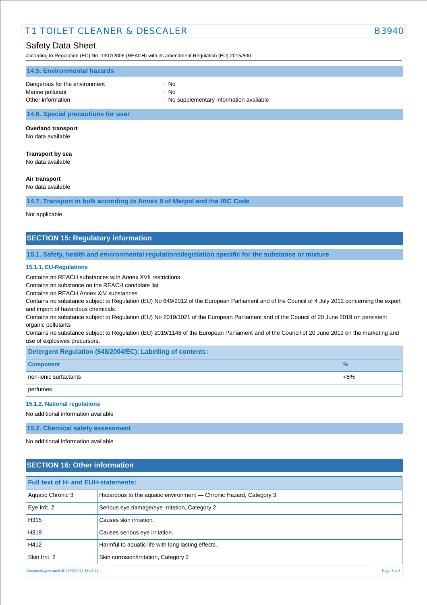# Safety Data Sheet

according to Regulation (EC) No. 1907/2006 (REACH) with its amendment Regulation (EU) 2015/830

| 14.5. Environmental hazards                       |                                          |
|---------------------------------------------------|------------------------------------------|
| Dangerous for the environment<br>Marine pollutant | : No<br>: No                             |
| Other information                                 | : No supplementary information available |

### **14.6. Special precautions for user**

#### **Overland transport**

No data available

# **Transport by sea**

No data available

## **Air transport**

No data available

**14.7. Transport in bulk according to Annex II of Marpol and the IBC Code**

#### Not applicable

## **SECTION 15: Regulatory information**

#### **15.1. Safety, health and environmental regulations/legislation specific for the substance or mixture**

#### **15.1.1. EU-Regulations**

Contains no REACH substances with Annex XVII restrictions

Contains no substance on the REACH candidate list

Contains no REACH Annex XIV substances

Contains no substance subject to Regulation (EU) No 649/2012 of the European Parliament and of the Council of 4 July 2012 concerning the export and import of hazardous chemicals.

Contains no substance subject to Regulation (EU) No 2019/1021 of the European Parliament and of the Council of 20 June 2019 on persistent organic pollutants

Contains no substance subject to Regulation (EU) 2019/1148 of the European Parliament and of the Council of 20 June 2019 on the marketing and use of explosives precursors.

| Detergent Regulation (648/2004/EC): Labelling of contents: |               |  |
|------------------------------------------------------------|---------------|--|
| <b>Component</b>                                           | $\frac{9}{6}$ |  |
| non-ionic surfactants                                      | $< 5\%$       |  |
| perfumes                                                   |               |  |

#### **15.1.2. National regulations**

No additional information available

**15.2. Chemical safety assessment**

No additional information available

# **SECTION 16: Other information**

| <b>Full text of H- and EUH-statements:</b>              |                                                                   |  |
|---------------------------------------------------------|-------------------------------------------------------------------|--|
| Aquatic Chronic 3                                       | Hazardous to the aquatic environment — Chronic Hazard, Category 3 |  |
| Eye Irrit. 2                                            | Serious eye damage/eye irritation, Category 2                     |  |
| H315                                                    | Causes skin irritation.                                           |  |
| H319                                                    | Causes serious eye irritation.                                    |  |
| H412                                                    | Harmful to aquatic life with long lasting effects.                |  |
| Skin Irrit, 2                                           | Skin corrosion/irritation, Category 2                             |  |
| Document generated @ 23/08/2021 16:43:44<br>Page 7 of 8 |                                                                   |  |